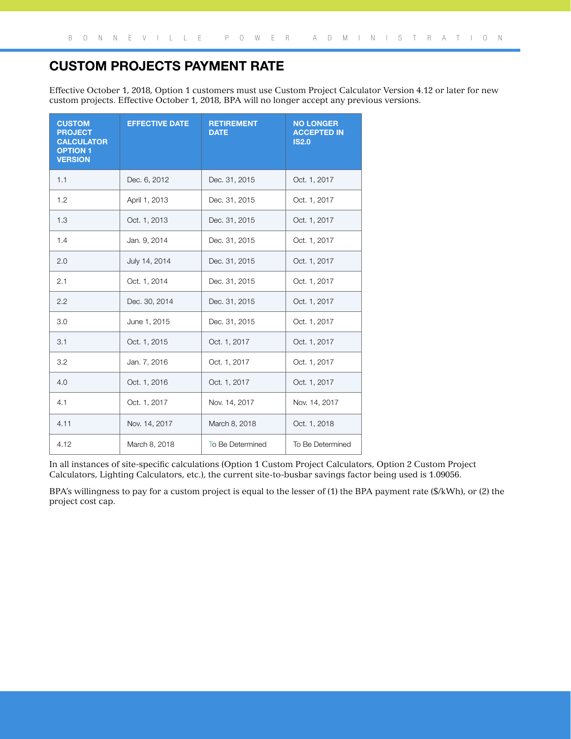## Custom Projects Payment Rate

Effective October 1, 2018, Option 1 customers must use Custom Project Calculator Version 4.12 or later for new custom projects. Effective October 1, 2018, BPA will no longer accept any previous versions.

| <b>CUSTOM</b><br><b>PROJECT</b><br><b>CALCULATOR</b><br><b>OPTION 1</b><br><b>VERSION</b> | <b>EFFECTIVE DATE</b> | <b>RETIREMENT</b><br><b>DATE</b> | <b>NO LONGER</b><br><b>ACCEPTED IN</b><br><b>IS2.0</b> |
|-------------------------------------------------------------------------------------------|-----------------------|----------------------------------|--------------------------------------------------------|
| 1.1                                                                                       | Dec. 6, 2012          | Dec. 31, 2015                    | Oct. 1, 2017                                           |
| 1.2                                                                                       | April 1, 2013         | Dec. 31, 2015                    | Oct. 1, 2017                                           |
| 1.3                                                                                       | Oct. 1, 2013          | Dec. 31, 2015                    | Oct. 1, 2017                                           |
| 1.4                                                                                       | Jan. 9, 2014          | Dec. 31, 2015                    | Oct. 1, 2017                                           |
| 2.0                                                                                       | July 14, 2014         | Dec. 31, 2015                    | Oct. 1, 2017                                           |
| 2.1                                                                                       | Oct. 1, 2014          | Dec. 31, 2015                    | Oct. 1, 2017                                           |
| 2.2                                                                                       | Dec. 30, 2014         | Dec. 31, 2015                    | Oct. 1, 2017                                           |
| 3.0                                                                                       | June 1, 2015          | Dec. 31, 2015                    | Oct. 1, 2017                                           |
| 3.1                                                                                       | Oct. 1, 2015          | Oct. 1, 2017                     | Oct. 1, 2017                                           |
| 3.2                                                                                       | Jan. 7, 2016          | Oct. 1, 2017                     | Oct. 1, 2017                                           |
| 4.0                                                                                       | Oct. 1, 2016          | Oct. 1, 2017                     | Oct. 1, 2017                                           |
| 4.1                                                                                       | Oct. 1, 2017          | Nov. 14, 2017                    | Nov. 14, 2017                                          |
| 4.11                                                                                      | Nov. 14, 2017         | March 8, 2018                    | Oct. 1, 2018                                           |
| 4.12                                                                                      | March 8, 2018         | To Be Determined                 | To Be Determined                                       |

In all instances of site-specific calculations (Option 1 Custom Project Calculators, Option 2 Custom Project Calculators, Lighting Calculators, etc.), the current site-to-busbar savings factor being used is 1.09056.

BPA's willingness to pay for a custom project is equal to the lesser of (1) the BPA payment rate (\$/kWh), or (2) the project cost cap.